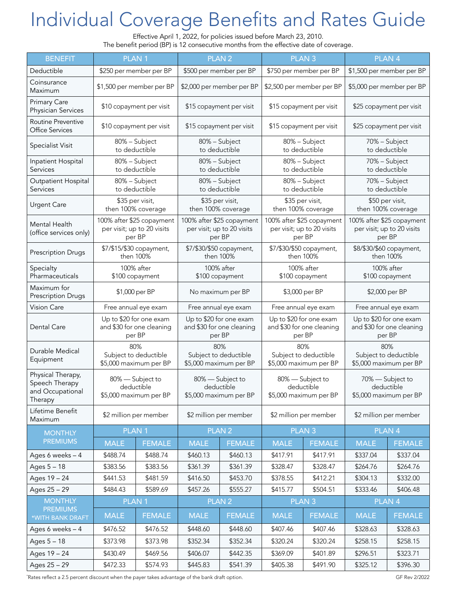## Individual Coverage Benefits and Rates Guide

Effective April 1, 2022, for policies issued before March 23, 2010. The benefit period (BP) is 12 consecutive months from the effective date of coverage.

| <b>BENEFIT</b>                                                     | <b>PLAN1</b>                                                      |               |                                                                   | <b>PLAN2</b>      |                                                                   | <b>PLAN3</b>  | <b>PLAN4</b>                                                      |               |
|--------------------------------------------------------------------|-------------------------------------------------------------------|---------------|-------------------------------------------------------------------|-------------------|-------------------------------------------------------------------|---------------|-------------------------------------------------------------------|---------------|
| Deductible                                                         | \$250 per member per BP                                           |               | \$500 per member per BP                                           |                   | \$750 per member per BP                                           |               | \$1,500 per member per BP                                         |               |
| Coinsurance<br>Maximum                                             | \$1,500 per member per BP                                         |               | \$2,000 per member per BP                                         |                   | \$2,500 per member per BP                                         |               | \$5,000 per member per BP                                         |               |
| <b>Primary Care</b><br>Physician Services                          | \$10 copayment per visit                                          |               | \$15 copayment per visit                                          |                   | \$15 copayment per visit                                          |               | \$25 copayment per visit                                          |               |
| <b>Routine Preventive</b><br><b>Office Services</b>                | \$10 copayment per visit                                          |               | \$15 copayment per visit                                          |                   | \$15 copayment per visit                                          |               | \$25 copayment per visit                                          |               |
| Specialist Visit                                                   | 80% - Subject<br>to deductible                                    |               | 80% - Subject<br>to deductible                                    |                   | 80% - Subject<br>to deductible                                    |               | 70% - Subject<br>to deductible                                    |               |
| Inpatient Hospital<br>Services                                     | 80% - Subject<br>to deductible                                    |               | 80% - Subject<br>to deductible                                    |                   | 80% - Subject<br>to deductible                                    |               | 70% - Subject<br>to deductible                                    |               |
| Outpatient Hospital<br>Services                                    | 80% - Subject<br>to deductible                                    |               | 80% - Subject<br>to deductible                                    |                   | 80% - Subject<br>to deductible                                    |               | 70% - Subject<br>to deductible                                    |               |
| <b>Urgent Care</b>                                                 | \$35 per visit,<br>then 100% coverage                             |               | \$35 per visit,<br>then 100% coverage                             |                   | \$35 per visit,<br>then 100% coverage                             |               | \$50 per visit,<br>then 100% coverage                             |               |
| Mental Health<br>(office services only)                            | 100% after \$25 copayment<br>per visit; up to 20 visits<br>per BP |               | 100% after \$25 copayment<br>per visit; up to 20 visits<br>per BP |                   | 100% after \$25 copayment<br>per visit; up to 20 visits<br>per BP |               | 100% after \$25 copayment<br>per visit; up to 20 visits<br>per BP |               |
| <b>Prescription Drugs</b>                                          | \$7/\$15/\$30 copayment,<br>then 100%                             |               | \$7/\$30/\$50 copayment,<br>then 100%                             |                   | \$7/\$30/\$50 copayment,<br>then 100%                             |               | \$8/\$30/\$60 copayment,<br>then 100%                             |               |
| Specialty<br>Pharmaceuticals                                       | 100% after<br>\$100 copayment                                     |               | 100% after<br>\$100 copayment                                     |                   | 100% after<br>\$100 copayment                                     |               | 100% after<br>\$100 copayment                                     |               |
| Maximum for<br>Prescription Drugs                                  | \$1,000 per BP                                                    |               | No maximum per BP                                                 |                   | \$3,000 per BP                                                    |               | \$2,000 per BP                                                    |               |
| <b>Vision Care</b>                                                 | Free annual eye exam                                              |               | Free annual eye exam                                              |                   | Free annual eye exam                                              |               | Free annual eye exam                                              |               |
| Dental Care                                                        | Up to \$20 for one exam<br>and \$30 for one cleaning<br>per BP    |               | Up to \$20 for one exam<br>and \$30 for one cleaning<br>per BP    |                   | Up to \$20 for one exam<br>and \$30 for one cleaning<br>per BP    |               | Up to \$20 for one exam<br>and \$30 for one cleaning<br>per BP    |               |
| Durable Medical<br>Equipment                                       | 80%<br>Subject to deductible<br>\$5,000 maximum per BP            |               | 80%<br>Subject to deductible<br>\$5,000 maximum per BP            |                   | 80%<br>Subject to deductible<br>\$5,000 maximum per BP            |               | 80%<br>Subject to deductible<br>\$5,000 maximum per BP            |               |
| Physical Therapy,<br>Speech Therapy<br>and Occupational<br>Therapy | 80% - Subject to<br>deductible<br>\$5,000 maximum per BP          |               | 80% - Subject to<br>deductible<br>\$5,000 maximum per BP          |                   | 80% - Subject to<br>deductible<br>\$5,000 maximum per BP          |               | 70% - Subject to<br>deductible<br>\$5,000 maximum per BP          |               |
| Lifetime Benefit<br>Maximum                                        | \$2 million per member                                            |               | \$2 million per member                                            |                   | \$2 million per member                                            |               | \$2 million per member                                            |               |
| <b>MONTHLY</b>                                                     |                                                                   | <b>PLAN1</b>  |                                                                   | PLAN <sub>2</sub> | PLAN <sub>3</sub>                                                 |               | PLAN <sub>4</sub>                                                 |               |
| <b>PREMIUMS</b>                                                    | <b>MALE</b>                                                       | <b>FEMALE</b> | <b>MALE</b>                                                       | <b>FEMALE</b>     | <b>MALE</b>                                                       | <b>FEMALE</b> | <b>MALE</b>                                                       | <b>FEMALE</b> |
| Ages 6 weeks - 4                                                   | \$488.74                                                          | \$488.74      | \$460.13                                                          | \$460.13          | \$417.91                                                          | \$417.91      | \$337.04                                                          | \$337.04      |
| Ages 5 - 18                                                        | \$383.56                                                          | \$383.56      | \$361.39                                                          | \$361.39          | \$328.47                                                          | \$328.47      | \$264.76                                                          | \$264.76      |
| Ages 19 - 24                                                       | \$441.53                                                          | \$481.59      | \$416.50                                                          | \$453.70          | \$378.55                                                          | \$412.21      | \$304.13                                                          | \$332.00      |
| Ages 25 - 29                                                       | \$484.43                                                          | \$589.69      | \$457.26                                                          | \$555.27          | \$415.77                                                          | \$504.51      | \$333.46                                                          | \$406.48      |
| <b>MONTHLY</b><br><b>PREMIUMS</b>                                  | PLAN <sub>1</sub>                                                 |               | PLAN <sub>2</sub>                                                 |                   | PLAN <sub>3</sub>                                                 |               | PLAN <sub>4</sub>                                                 |               |
| *WITH BANK DRAFT                                                   | <b>MALE</b>                                                       | <b>FEMALE</b> | <b>MALE</b>                                                       | <b>FEMALE</b>     | <b>MALE</b>                                                       | <b>FEMALE</b> | <b>MALE</b>                                                       | <b>FEMALE</b> |
| Ages 6 weeks - 4                                                   | \$476.52                                                          | \$476.52      | \$448.60                                                          | \$448.60          | \$407.46                                                          | \$407.46      | \$328.63                                                          | \$328.63      |
| Ages 5 - 18                                                        | \$373.98                                                          | \$373.98      | \$352.34                                                          | \$352.34          | \$320.24                                                          | \$320.24      | \$258.15                                                          | \$258.15      |
| Ages 19 - 24                                                       | \$430.49                                                          | \$469.56      | \$406.07                                                          | \$442.35          | \$369.09                                                          | \$401.89      | \$296.51                                                          | \$323.71      |
| Ages 25 - 29                                                       | \$472.33                                                          | \$574.93      | \$445.83                                                          | \$541.39          | \$405.38                                                          | \$491.90      | \$325.12                                                          | \$396.30      |

\*Rates reflect a 2.5 percent discount when the payer takes advantage of the bank draft option. GFR Rev 2/2022 and the bank draft option.